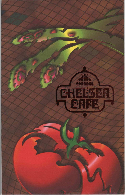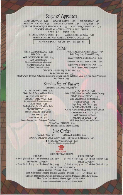## Soups & Appetizers

SOUP of the DAY 2.75 CLAM CHOWDER 2.05 ONION SOUP 3.25 SHRIMP COCKTAIL 6.05 NACHOS SUPREME 4.95 BBQ RIBS 4.95 CRAB CAKES with CAJUN REMOULADE 4.95 CHICKEN QUESADILLAS 5.25 CHICKEN WINGS with CELERY STICKS & BLEU CHEESE

 $6$  pieces  $4.25$  10 pieces  $6.75$ 

STUFFED POTATO SKINS 4.95 **GARLIC CHEESE BREAD 3.25** FRIED CALAMARI with ROASTED TOMATO COULIS 4.05

THE ONION LOAF Half Loaf 2.75 Full Loaf 3.95

### Salads

FRESH GARDEN SALAD 2.50 With Entree 1.45

UNBELIEVABLE FRUITS 6.95 With Cottage Cheese. (fat 17.3 gm., cholesterol 40 mg., sodium 194 mg.) NEPTUNE SALAD 8.95 Crabmeat, Tuna and Shrimp.

FRIED CAJUN CHICKEN SALAD 7.05 With Spicy Honey Mustard Dressing.

TRADITIONAL COBB SALAD 6.05

SHRIMP or CHICKEN CAESAR 8.05

ORIENTAL CHICKEN SALAD 7.50 With Sesame Orange Vinaigrette.

CHICKEN or BEEF FAJITA SALAD 7.25

PARADISE SALAD 5.75

Mixed Greens, Tomatoes, Artichokes, Cauliflower, Broccoli, Radishes and Olives tossed with Feta Cheese Vinaigrette. With Entree 2.05

## Sandwiches & Burgers

(Served with Pickle, With Fries, add 1.35)

OLD FASHIONED CLUB 5.05 Turkey Breast, Bacon and Swiss Cheese

♦ HERB MARINATED CHICKEN SANDWICH 6.05 (fat 14.2 gm., cholesterol 160 mg., sodium 255 mg.) CRAB MELT 7.95 On English Muffin with Melted Swiss. CROISSANTWICH 5.75 Smoked Turkey and Swiss Cheese. TUNA MELT 5.25 THE HOAGIE 5.95 Salami, Smoked Ham, Turkey and Provolone.

GYROS in PITA 5.95 With Alfalfa, Feta Cheese and Cucumber Dressing. PRIME RIB SANDWICH 8.50 With Sauteed Onion and Mushrooms. SUPER BURGER 4.50 Super Burger with Cheese 4.05 MEXICALI BURGER 6.25 On Flour Tortilla with Refried Beans and Cheddar. **CALIFORNIA BURGER 5.95** With Guacamole and Swiss. PARADISE BURGER 6.25 With Bacon, Mushrooms and Cheddar.

CANADIAN BURGER 6.25 With Canadian Bacon and Smoked Cheddar.

#### Side Orders

CURLY FRIES 1.35 **COTTAGE CHEESE 1.00** POTATO SALAD or COLE SLAW 1.00 FETTUCINI ALFREDO 1.95 STEAMED VEGETABLES 2.25 (fat 2.3 gm., cholesterol o mg., sodium 28.5 mg.)



SPECIALTY PAN PIZZAS

**SUPREME SUPER SUPREME** 9" Small (6 slices) 8.75 12" Medium (8 slices) 12.75 9" Small (6 slices) 9.95 12" Medium (8 slices) 13.95 PEPPERONI LOVERS® **MEAT LOVERS®** 9" Small (6 slices) 9.25 12" Medium (8 slices) 12.95 9" Small (6 slices) 9.50 12" Medium (8 slices) 12.95 **CREATE YOUR OWN PIZZA** 

Deluxe Cheese - 9" Small 6.95 12" Medium 8.95

Each Additional Topping or Extra Cheese - 9" Small .95 12" Medium 1.25 Toppings: Italian Sausage, Onions, Pepperoni, Beef Topping, Mushrooms, Ham, Pork Topping,

Black Olives, Green Peppers, Jalapeño Peppers and Bacon Pieces.

<sup>®</sup> Designates registered trademark of Pizza Hut, Inc. (No coupons please.)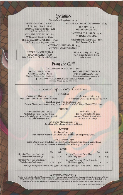## **Specialties**

Dinner Salad with Any Entree, add 1.45

PRIME RIB & BAKED POTATO 8 oz. 9.95 12. oz. 12.95 SMOKED BBQ CHICKEN 9.95 With Fries and Cole Slaw. **CHICKEN FRIED STEAK 8.05** With Mashed Potatoes and Gravy. SLICED SEARED TOP SIRLOIN 13.05

With Linguini and Peppercorn Sauce.

BBO RIBS 0.05 With Fries and Cole Slaw.

PRIME RIB & ONE DOZEN SHRIMP 16.95

SAUTEED RED SNAPPER 14.95 With Garlic Chive Sauce.

FRIED SHRIMP TEMPURA 11.95 With Fries and Cole Slaw.

SAUTEED CHICKEN BREAST 0.05 Over Creamy Spinach with Fettucini.

**CHICKEN or BEEF FAJITAS** or COMBINATION 8.95 With Refried Beans, Tortillas and Condiments.

SEAFOOD FAJITAS 10.95 With Shrimp, Swordfish, Salmon and Condiments.

# From the Grill

GRILLED NEW YORK STEAK 17.95

**GRILLED SALMON** with DILL SAUCE 14.95 (fat 42.4 gm., cholesterol 119 mg., sodium, 200 mg.)

◆ CHARBROILED CHICKEN with SPICED SALSA 10.05 (fat 13.2 gm., cholesterol 160 mg., sodium 250 mg.)

◆ GRILLED SWORDFISH with VEGETABLE RELISH 15.05 (fat 11.4 gm., cholesterol 111.4 mg., sodium 257 mg.)

## Contemporary Cuisine

**STARTERS** 

California Field Greens 3.95 With Warm Goat Cheese and Cabernet Vinaigrette.

Alaska Salmon Cake 4.75 With Mesclun Greens, Fresh Tomato and Herb Relish.

Black Bean Soup with Corn Bisque 3.95 President Clinton's favorite as served by our Corporate Chef at the Martha's Vineyard Summer White House.

#### **ENTREES**

Mixed Seafood Grille 16.95 Alaska Salmon, Halibut and Tiger Prawns served with a Medley of Fresh Fall Roasted Vegetables and Garlic Mashed Potatoes.

Pork Grille 14.95 Pork Rib Chop and Smoked Chop accompanied by Garlic Mashed Potatoes and Braised Red Cabbage.

Pan Roasted Alaska Salmon 15.50 Green Beans with a Mustard Vinaigrette and Polenta.

**DESSERT** 

Blueberry Crisp 3.95 Fresh Blueberries baked in a Crisp Crumb Crust, served with Ben and Jerry's Ice Cream.

A FULL DINNER 19.95

Includes Choice of One Starter, Entree, our New International Bread, including Focaccia, Walnut Bread, Hot Sourdough and Italian Bread Sticks and Choice of Blueberry Crisp or Ice Cream.

|                                | <b>Glass</b>                       | <b>Bottle</b> |                               | Glass | Bottle |
|--------------------------------|------------------------------------|---------------|-------------------------------|-------|--------|
| Meridian Vineyards Pinot Noir  |                                    |               | Beringer Vineyards Fume Blanc |       |        |
| (Santa Barbara County 1991/92) | 4.95                               | 21.95         | (Napa Valley 1991)            | 3.05  | 10.95  |
| Meridian Vineyards Chardonnay  | Beringer Vineyards White Zinfandel |               |                               |       |        |
| (Santa Barbara County 1991/92) | 4.95                               | 19.95         | (North Coast 1993/94)         | 3.50  | 12.95  |

#### ◆ HEALTHY ALTERNATIVES ◆

We have set the pace with our Healthy Alternatives menu program. We are committed to offering fresh fruits, steamed vegetables, decaffeinated beverages, whole grain breads, margarine and low cholesterol dressings and condiments. Selected items on our menu are prepared with your health in mind and are identified with a ( $\blacklozenge$ ). Calculations of fat, cholesterol and sodium are based on approximate averages and should not be used to calculate or adhere to specific dietary quidelines.